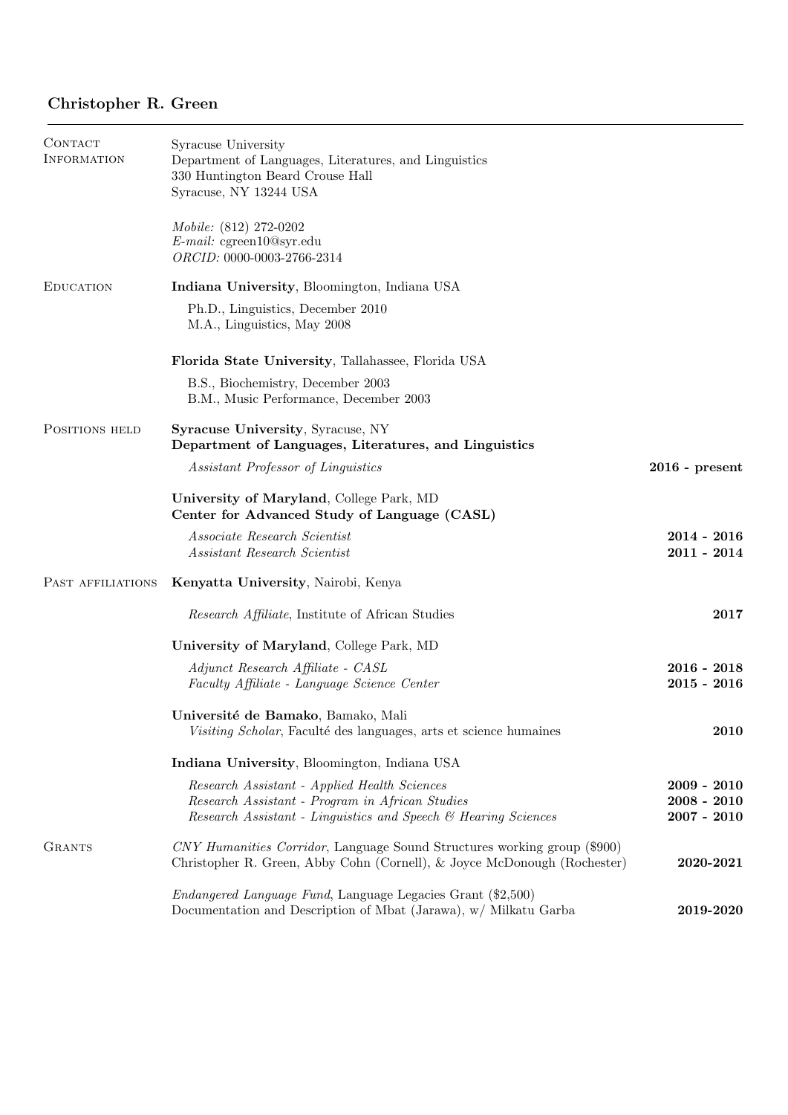# Christopher R. Green

| CONTACT<br>INFORMATION | Syracuse University<br>Department of Languages, Literatures, and Linguistics<br>330 Huntington Beard Crouse Hall<br>Syracuse, NY 13244 USA                        |                                                 |
|------------------------|-------------------------------------------------------------------------------------------------------------------------------------------------------------------|-------------------------------------------------|
|                        | <i>Mobile:</i> (812) 272-0202<br>$E$ -mail: cgreen10@syr.edu<br>ORCID: 0000-0003-2766-2314                                                                        |                                                 |
| <b>EDUCATION</b>       | Indiana University, Bloomington, Indiana USA                                                                                                                      |                                                 |
|                        | Ph.D., Linguistics, December 2010<br>M.A., Linguistics, May 2008                                                                                                  |                                                 |
|                        | Florida State University, Tallahassee, Florida USA                                                                                                                |                                                 |
|                        | B.S., Biochemistry, December 2003<br>B.M., Music Performance, December 2003                                                                                       |                                                 |
| POSITIONS HELD         | <b>Syracuse University, Syracuse, NY</b><br>Department of Languages, Literatures, and Linguistics                                                                 |                                                 |
|                        | Assistant Professor of Linguistics                                                                                                                                | $2016$ - present                                |
|                        | University of Maryland, College Park, MD<br>Center for Advanced Study of Language (CASL)                                                                          |                                                 |
|                        | Associate Research Scientist<br>Assistant Research Scientist                                                                                                      | $2014 - 2016$<br>$2011 - 2014$                  |
| PAST AFFILIATIONS      | Kenyatta University, Nairobi, Kenya                                                                                                                               |                                                 |
|                        | <i>Research Affiliate</i> , Institute of African Studies                                                                                                          | 2017                                            |
|                        | University of Maryland, College Park, MD                                                                                                                          |                                                 |
|                        | Adjunct Research Affiliate - CASL<br>Faculty Affiliate - Language Science Center                                                                                  | $2016 - 2018$<br>$2015 - 2016$                  |
|                        | Université de Bamako, Bamako, Mali<br>Visiting Scholar, Faculté des languages, arts et science humaines                                                           | 2010                                            |
|                        | Indiana University, Bloomington, Indiana USA                                                                                                                      |                                                 |
|                        | Research Assistant - Applied Health Sciences<br>Research Assistant - Program in African Studies<br>Research Assistant - Linguistics and Speech & Hearing Sciences | $2009 - 2010$<br>$2008 - 2010$<br>$2007 - 2010$ |
| <b>GRANTS</b>          | CNY Humanities Corridor, Language Sound Structures working group (\$900)<br>Christopher R. Green, Abby Cohn (Cornell), & Joyce McDonough (Rochester)              | 2020-2021                                       |
|                        | <i>Endangered Language Fund</i> , Language Legacies Grant (\$2,500)<br>Documentation and Description of Mbat (Jarawa), w/ Milkatu Garba                           | 2019-2020                                       |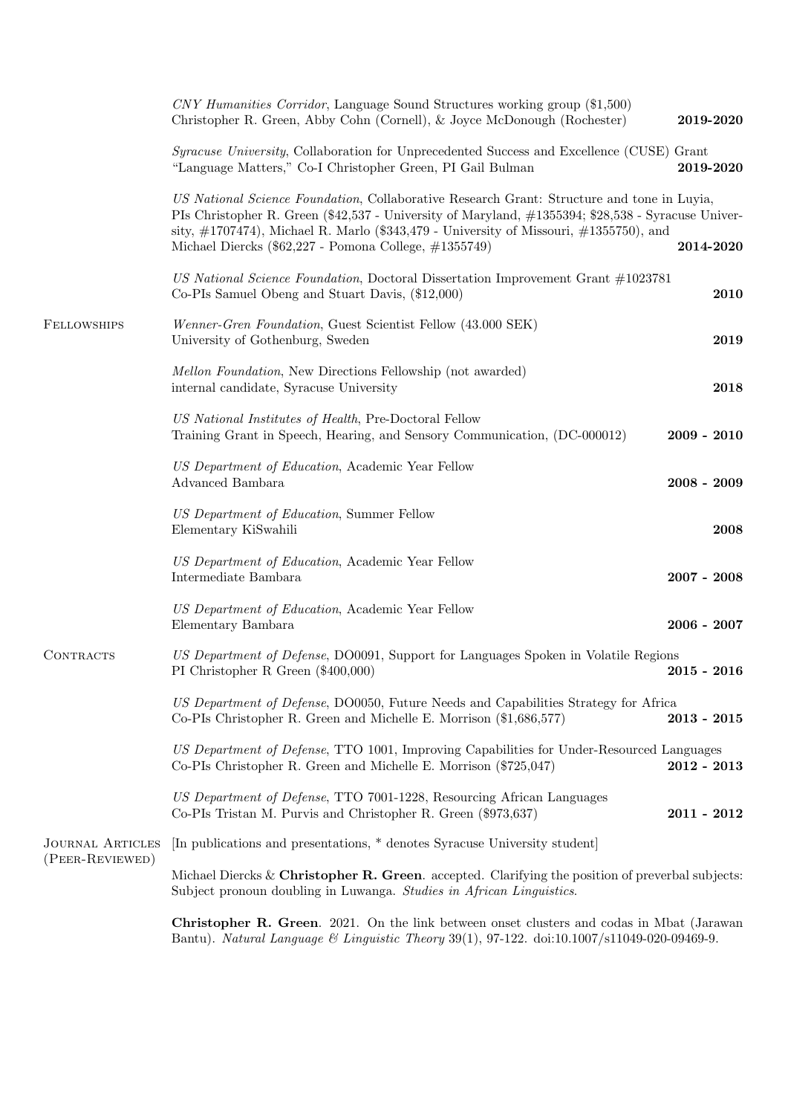|                                            | CNY Humanities Corridor, Language Sound Structures working group (\$1,500)<br>Christopher R. Green, Abby Cohn (Cornell), & Joyce McDonough (Rochester)                                                                                                                                                                                                     | 2019-2020     |
|--------------------------------------------|------------------------------------------------------------------------------------------------------------------------------------------------------------------------------------------------------------------------------------------------------------------------------------------------------------------------------------------------------------|---------------|
|                                            | <i>Syracuse University</i> , Collaboration for Unprecedented Success and Excellence (CUSE) Grant<br>"Language Matters," Co-I Christopher Green, PI Gail Bulman                                                                                                                                                                                             | 2019-2020     |
|                                            | US National Science Foundation, Collaborative Research Grant: Structure and tone in Luyia,<br>PIs Christopher R. Green (\$42,537 - University of Maryland, #1355394; \$28,538 - Syracuse Univer-<br>sity, $\#1707474$ ), Michael R. Marlo (\$343,479 - University of Missouri, $\#1355750$ ), and<br>Michael Diercks (\$62,227 - Pomona College, #1355749) | 2014-2020     |
|                                            | US National Science Foundation, Doctoral Dissertation Improvement Grant #1023781<br>Co-PIs Samuel Obeng and Stuart Davis, (\$12,000)                                                                                                                                                                                                                       | 2010          |
| FELLOWSHIPS                                | Wenner-Gren Foundation, Guest Scientist Fellow (43.000 SEK)<br>University of Gothenburg, Sweden                                                                                                                                                                                                                                                            | ${\bf 2019}$  |
|                                            | <i>Mellon Foundation</i> , New Directions Fellowship (not awarded)<br>internal candidate, Syracuse University                                                                                                                                                                                                                                              | 2018          |
|                                            | US National Institutes of Health, Pre-Doctoral Fellow<br>Training Grant in Speech, Hearing, and Sensory Communication, (DC-000012)                                                                                                                                                                                                                         | $2009 - 2010$ |
|                                            | US Department of Education, Academic Year Fellow<br>Advanced Bambara                                                                                                                                                                                                                                                                                       | $2008 - 2009$ |
|                                            | US Department of Education, Summer Fellow<br>Elementary KiSwahili                                                                                                                                                                                                                                                                                          | 2008          |
|                                            | US Department of Education, Academic Year Fellow<br>Intermediate Bambara                                                                                                                                                                                                                                                                                   | $2007 - 2008$ |
|                                            | US Department of Education, Academic Year Fellow<br>Elementary Bambara                                                                                                                                                                                                                                                                                     | $2006 - 2007$ |
| CONTRACTS                                  | US Department of Defense, DO0091, Support for Languages Spoken in Volatile Regions<br>PI Christopher R Green $(\$400,000)$                                                                                                                                                                                                                                 | $2015 - 2016$ |
|                                            | US Department of Defense, DO0050, Future Needs and Capabilities Strategy for Africa<br>Co-PIs Christopher R. Green and Michelle E. Morrison (\$1,686,577)                                                                                                                                                                                                  | $2013 - 2015$ |
|                                            | US Department of Defense, TTO 1001, Improving Capabilities for Under-Resourced Languages<br>Co-PIs Christopher R. Green and Michelle E. Morrison (\$725,047)                                                                                                                                                                                               | $2012 - 2013$ |
|                                            | US Department of Defense, TTO 7001-1228, Resourcing African Languages<br>Co-PIs Tristan M. Purvis and Christopher R. Green (\$973,637)                                                                                                                                                                                                                     | $2011 - 2012$ |
| <b>JOURNAL ARTICLES</b><br>(PEER-REVIEWED) | [In publications and presentations, * denotes Syracuse University student]                                                                                                                                                                                                                                                                                 |               |
|                                            | Michael Diercks & Christopher R. Green. accepted. Clarifying the position of preverbal subjects:<br>Subject pronoun doubling in Luwanga. Studies in African Linguistics.                                                                                                                                                                                   |               |
|                                            | <b>Christopher R. Green.</b> 2021. On the link between onset clusters and codas in Mbat (Jarawan<br>Bantu). Natural Language & Linguistic Theory 39(1), 97-122. doi:10.1007/s11049-020-09469-9.                                                                                                                                                            |               |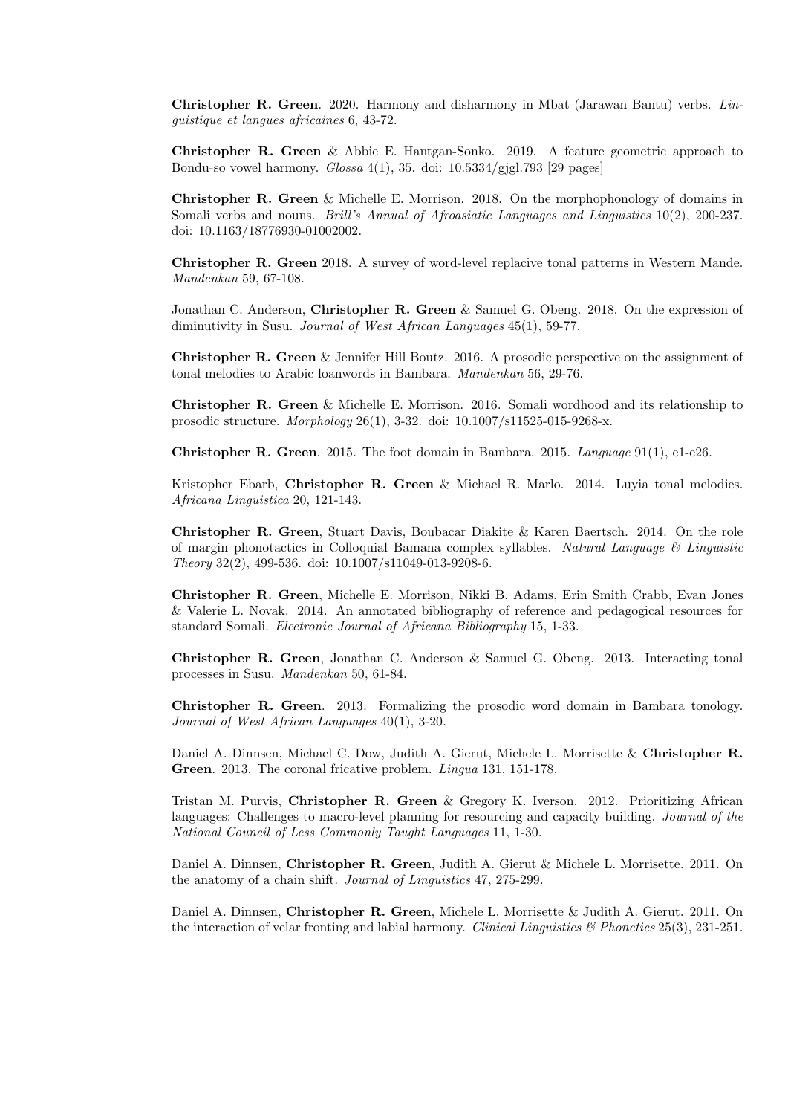Christopher R. Green. 2020. Harmony and disharmony in Mbat (Jarawan Bantu) verbs. Linguistique et langues africaines 6, 43-72.

Christopher R. Green & Abbie E. Hantgan-Sonko. 2019. A feature geometric approach to Bondu-so vowel harmony. Glossa 4(1), 35. doi: 10.5334/gjgl.793 [29 pages]

Christopher R. Green & Michelle E. Morrison. 2018. On the morphophonology of domains in Somali verbs and nouns. *Brill's Annual of Afroasiatic Languages and Linguistics* 10(2), 200-237. doi: 10.1163/18776930-01002002.

Christopher R. Green 2018. A survey of word-level replacive tonal patterns in Western Mande. Mandenkan 59, 67-108.

Jonathan C. Anderson, Christopher R. Green & Samuel G. Obeng. 2018. On the expression of diminutivity in Susu. Journal of West African Languages  $45(1)$ , 59-77.

Christopher R. Green & Jennifer Hill Boutz. 2016. A prosodic perspective on the assignment of tonal melodies to Arabic loanwords in Bambara. Mandenkan 56, 29-76.

Christopher R. Green & Michelle E. Morrison. 2016. Somali wordhood and its relationship to prosodic structure. Morphology 26(1), 3-32. doi: 10.1007/s11525-015-9268-x.

Christopher R. Green. 2015. The foot domain in Bambara. 2015. Language 91(1), e1-e26.

Kristopher Ebarb, Christopher R. Green & Michael R. Marlo. 2014. Luyia tonal melodies. Africana Linguistica 20, 121-143.

Christopher R. Green, Stuart Davis, Boubacar Diakite & Karen Baertsch. 2014. On the role of margin phonotactics in Colloquial Bamana complex syllables. Natural Language & Linguistic Theory 32(2), 499-536. doi: 10.1007/s11049-013-9208-6.

Christopher R. Green, Michelle E. Morrison, Nikki B. Adams, Erin Smith Crabb, Evan Jones & Valerie L. Novak. 2014. An annotated bibliography of reference and pedagogical resources for standard Somali. Electronic Journal of Africana Bibliography 15, 1-33.

Christopher R. Green, Jonathan C. Anderson & Samuel G. Obeng. 2013. Interacting tonal processes in Susu. Mandenkan 50, 61-84.

Christopher R. Green. 2013. Formalizing the prosodic word domain in Bambara tonology. Journal of West African Languages 40(1), 3-20.

Daniel A. Dinnsen, Michael C. Dow, Judith A. Gierut, Michele L. Morrisette & Christopher R. Green. 2013. The coronal fricative problem. Lingua 131, 151-178.

Tristan M. Purvis, Christopher R. Green & Gregory K. Iverson. 2012. Prioritizing African languages: Challenges to macro-level planning for resourcing and capacity building. Journal of the National Council of Less Commonly Taught Languages 11, 1-30.

Daniel A. Dinnsen, Christopher R. Green, Judith A. Gierut & Michele L. Morrisette. 2011. On the anatomy of a chain shift. Journal of Linguistics 47, 275-299.

Daniel A. Dinnsen, Christopher R. Green, Michele L. Morrisette & Judith A. Gierut. 2011. On the interaction of velar fronting and labial harmony. Clinical Linguistics  $\mathcal{B}$  Phonetics 25(3), 231-251.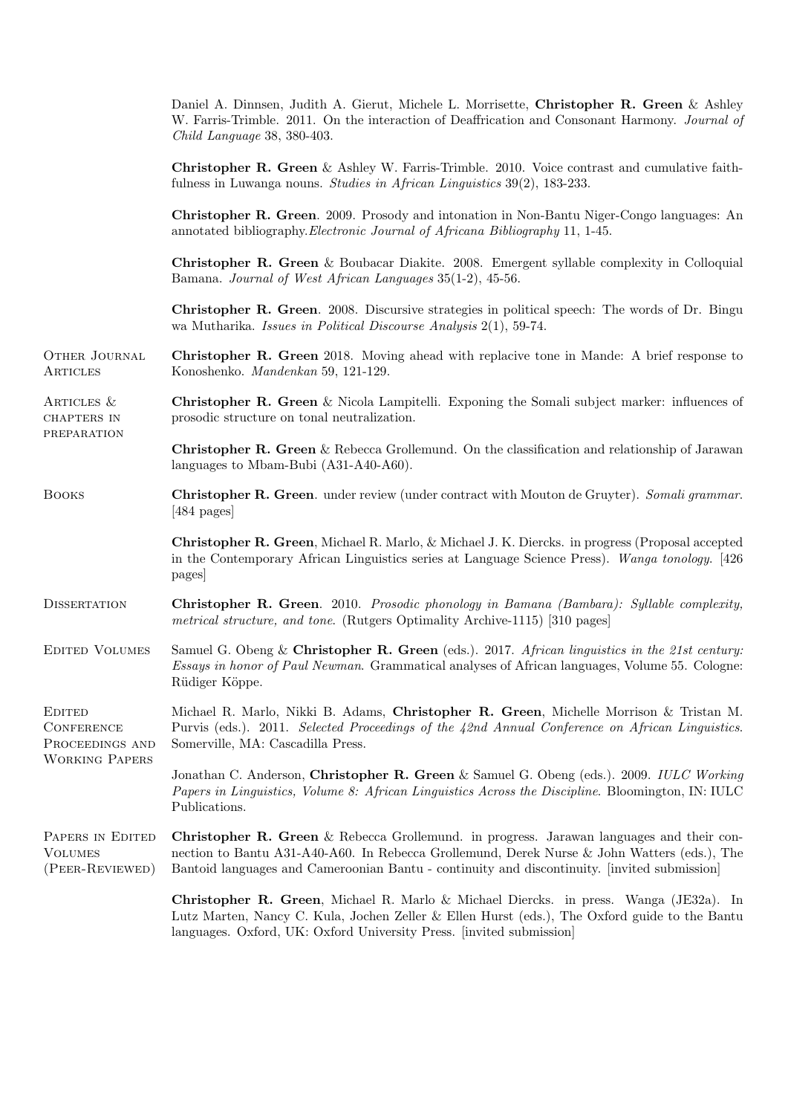|                                                                                | Daniel A. Dinnsen, Judith A. Gierut, Michele L. Morrisette, Christopher R. Green & Ashley<br>W. Farris-Trimble. 2011. On the interaction of Deaffrication and Consonant Harmony. Journal of<br>Child Language 38, 380-403.                                                                     |
|--------------------------------------------------------------------------------|------------------------------------------------------------------------------------------------------------------------------------------------------------------------------------------------------------------------------------------------------------------------------------------------|
|                                                                                | <b>Christopher R. Green &amp; Ashley W. Farris-Trimble. 2010. Voice contrast and cumulative faith-</b><br>fulness in Luwanga nouns. Studies in African Linguistics $39(2)$ , 183-233.                                                                                                          |
|                                                                                | Christopher R. Green. 2009. Prosody and intonation in Non-Bantu Niger-Congo languages: An<br>annotated bibliography. Electronic Journal of Africana Bibliography 11, 1-45.                                                                                                                     |
|                                                                                | <b>Christopher R. Green</b> & Boubacar Diakite. 2008. Emergent syllable complexity in Colloquial<br>Bamana. Journal of West African Languages 35(1-2), 45-56.                                                                                                                                  |
|                                                                                | <b>Christopher R. Green.</b> 2008. Discursive strategies in political speech: The words of Dr. Bingu<br>wa Mutharika. Issues in Political Discourse Analysis $2(1)$ , 59-74.                                                                                                                   |
| <b>OTHER JOURNAL</b><br>ARTICLES                                               | <b>Christopher R. Green</b> 2018. Moving ahead with replacive tone in Mande: A brief response to<br>Konoshenko. Mandenkan 59, 121-129.                                                                                                                                                         |
| ARTICLES &<br>CHAPTERS IN<br>PREPARATION                                       | <b>Christopher R. Green</b> & Nicola Lampitelli. Exponing the Somali subject marker: influences of<br>prosodic structure on tonal neutralization.                                                                                                                                              |
|                                                                                | <b>Christopher R. Green</b> & Rebecca Grollemund. On the classification and relationship of Jarawan<br>languages to Mbam-Bubi (A31-A40-A60).                                                                                                                                                   |
| <b>BOOKS</b>                                                                   | Christopher R. Green. under review (under contract with Mouton de Gruyter). Somali grammar.<br>$[484 \text{ pages}]$                                                                                                                                                                           |
|                                                                                | Christopher R. Green, Michael R. Marlo, & Michael J. K. Diercks. in progress (Proposal accepted<br>in the Contemporary African Linguistics series at Language Science Press). Wanga tonology. [426]<br>pages                                                                                   |
| <b>DISSERTATION</b>                                                            | Christopher R. Green. 2010. Prosodic phonology in Bamana (Bambara): Syllable complexity,<br>metrical structure, and tone. (Rutgers Optimality Archive-1115) [310 pages]                                                                                                                        |
| <b>EDITED VOLUMES</b>                                                          | Samuel G. Obeng & Christopher R. Green (eds.). 2017. African linguistics in the 21st century:<br><i>Essays in honor of Paul Newman.</i> Grammatical analyses of African languages, Volume 55. Cologne:<br>Rüdiger Köppe.                                                                       |
| <b>EDITED</b><br><b>CONFERENCE</b><br>PROCEEDINGS AND<br><b>WORKING PAPERS</b> | Michael R. Marlo, Nikki B. Adams, Christopher R. Green, Michelle Morrison & Tristan M.<br>Purvis (eds.). 2011. Selected Proceedings of the 42nd Annual Conference on African Linguistics.<br>Somerville, MA: Cascadilla Press.                                                                 |
|                                                                                | Jonathan C. Anderson, Christopher R. Green & Samuel G. Obeng (eds.). 2009. IULC Working<br>Papers in Linguistics, Volume 8: African Linguistics Across the Discipline. Bloomington, IN: IULC<br>Publications.                                                                                  |
| PAPERS IN EDITED<br><b>VOLUMES</b><br>(PEER-REVIEWED)                          | <b>Christopher R. Green</b> & Rebecca Grollemund. in progress. Jarawan languages and their con-<br>nection to Bantu A31-A40-A60. In Rebecca Grollemund, Derek Nurse & John Watters (eds.), The<br>Bantoid languages and Cameroonian Bantu - continuity and discontinuity. [invited submission] |
|                                                                                | Christopher R. Green, Michael R. Marlo & Michael Diercks. in press. Wanga (JE32a). In<br>Lutz Marten, Nancy C. Kula, Jochen Zeller & Ellen Hurst (eds.), The Oxford guide to the Bantu<br>languages. Oxford, UK: Oxford University Press. [invited submission]                                 |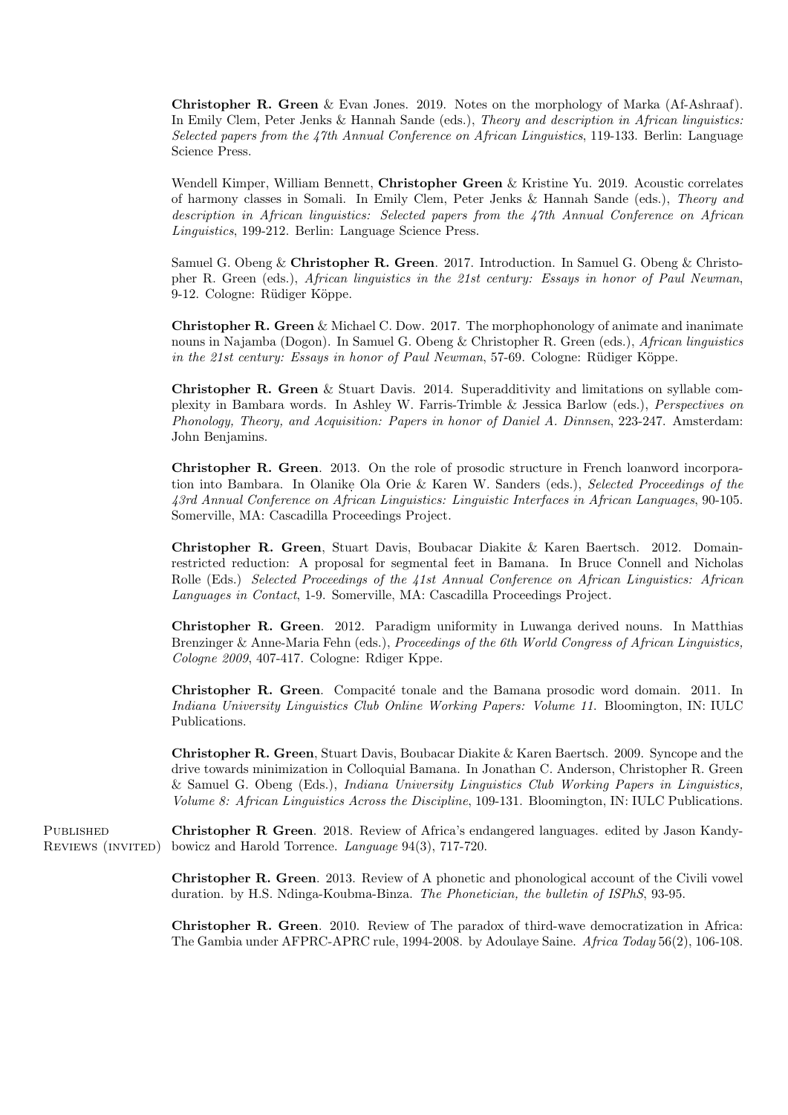Christopher R. Green & Evan Jones. 2019. Notes on the morphology of Marka (Af-Ashraaf). In Emily Clem, Peter Jenks & Hannah Sande (eds.), Theory and description in African linguistics: Selected papers from the 47th Annual Conference on African Linguistics, 119-133. Berlin: Language Science Press.

Wendell Kimper, William Bennett, Christopher Green & Kristine Yu. 2019. Acoustic correlates of harmony classes in Somali. In Emily Clem, Peter Jenks & Hannah Sande (eds.), Theory and description in African linguistics: Selected papers from the 47th Annual Conference on African Linguistics, 199-212. Berlin: Language Science Press.

Samuel G. Obeng & Christopher R. Green. 2017. Introduction. In Samuel G. Obeng & Christopher R. Green (eds.), African linguistics in the 21st century: Essays in honor of Paul Newman, 9-12. Cologne: Rüdiger Köppe.

Christopher R. Green & Michael C. Dow. 2017. The morphophonology of animate and inanimate nouns in Najamba (Dogon). In Samuel G. Obeng & Christopher R. Green (eds.), African linguistics in the  $21$ st century: Essays in honor of Paul Newman, 57-69. Cologne: Rüdiger Köppe.

Christopher R. Green & Stuart Davis. 2014. Superadditivity and limitations on syllable complexity in Bambara words. In Ashley W. Farris-Trimble & Jessica Barlow (eds.), Perspectives on Phonology, Theory, and Acquisition: Papers in honor of Daniel A. Dinnsen, 223-247. Amsterdam: John Benjamins.

Christopher R. Green. 2013. On the role of prosodic structure in French loanword incorporation into Bambara. In Olanike Ola Orie & Karen W. Sanders (eds.), Selected Proceedings of the 43rd Annual Conference on African Linguistics: Linguistic Interfaces in African Languages, 90-105. Somerville, MA: Cascadilla Proceedings Project.

Christopher R. Green, Stuart Davis, Boubacar Diakite & Karen Baertsch. 2012. Domainrestricted reduction: A proposal for segmental feet in Bamana. In Bruce Connell and Nicholas Rolle (Eds.) Selected Proceedings of the 41st Annual Conference on African Linguistics: African Languages in Contact, 1-9. Somerville, MA: Cascadilla Proceedings Project.

Christopher R. Green. 2012. Paradigm uniformity in Luwanga derived nouns. In Matthias Brenzinger & Anne-Maria Fehn (eds.), Proceedings of the 6th World Congress of African Linguistics, Cologne 2009, 407-417. Cologne: Rdiger Kppe.

Christopher R. Green. Compacité tonale and the Bamana prosodic word domain. 2011. In Indiana University Linguistics Club Online Working Papers: Volume 11. Bloomington, IN: IULC Publications.

Christopher R. Green, Stuart Davis, Boubacar Diakite & Karen Baertsch. 2009. Syncope and the drive towards minimization in Colloquial Bamana. In Jonathan C. Anderson, Christopher R. Green & Samuel G. Obeng (Eds.), Indiana University Linguistics Club Working Papers in Linguistics, Volume 8: African Linguistics Across the Discipline, 109-131. Bloomington, IN: IULC Publications.

**PUBLISHED** REVIEWS (INVITED) Christopher R Green. 2018. Review of Africa's endangered languages. edited by Jason Kandybowicz and Harold Torrence. Language 94(3), 717-720.

> Christopher R. Green. 2013. Review of A phonetic and phonological account of the Civili vowel duration. by H.S. Ndinga-Koubma-Binza. The Phonetician, the bulletin of ISPhS, 93-95.

> Christopher R. Green. 2010. Review of The paradox of third-wave democratization in Africa: The Gambia under AFPRC-APRC rule, 1994-2008. by Adoulaye Saine. Africa Today 56(2), 106-108.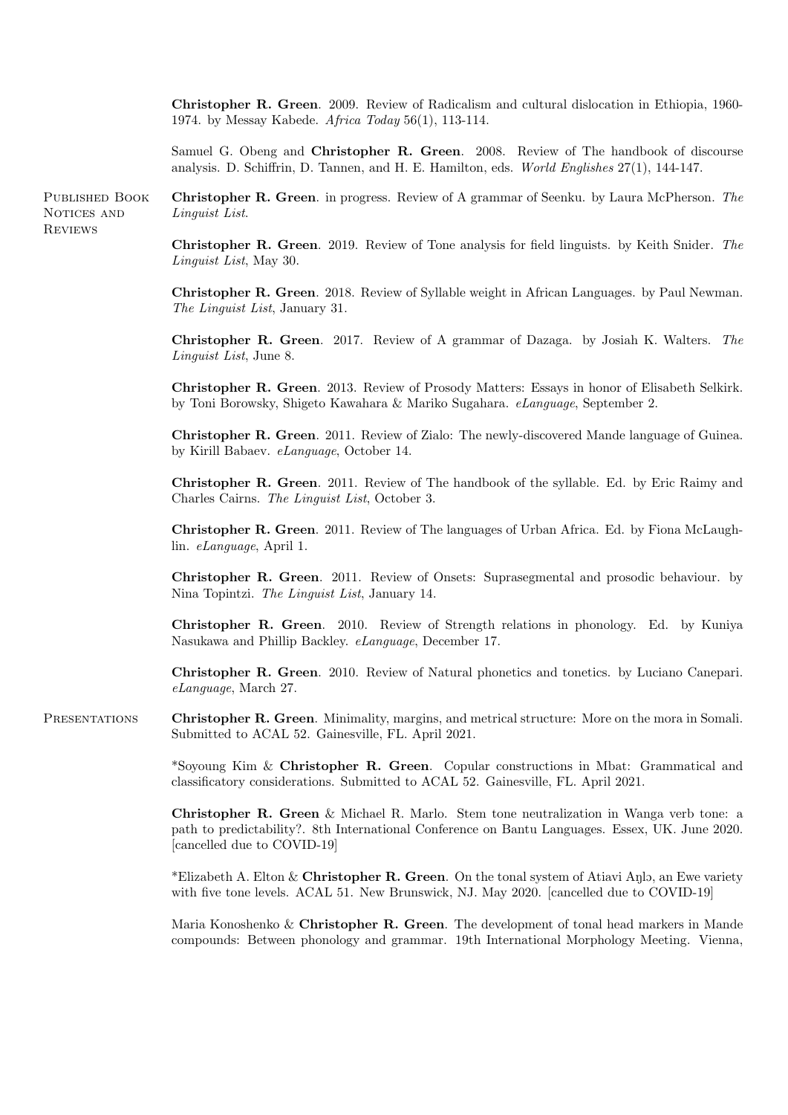Christopher R. Green. 2009. Review of Radicalism and cultural dislocation in Ethiopia, 1960- 1974. by Messay Kabede. Africa Today 56(1), 113-114.

Samuel G. Obeng and Christopher R. Green. 2008. Review of The handbook of discourse analysis. D. Schiffrin, D. Tannen, and H. E. Hamilton, eds. World Englishes 27(1), 144-147.

PUBLISHED BOOK Christopher R. Green. in progress. Review of A grammar of Seenku. by Laura McPherson. The NOTICES AND Linguist List.

**REVIEWS** 

Christopher R. Green. 2019. Review of Tone analysis for field linguists. by Keith Snider. The Linguist List, May 30.

Christopher R. Green. 2018. Review of Syllable weight in African Languages. by Paul Newman. The Linguist List, January 31.

Christopher R. Green. 2017. Review of A grammar of Dazaga. by Josiah K. Walters. The Linguist List, June 8.

Christopher R. Green. 2013. Review of Prosody Matters: Essays in honor of Elisabeth Selkirk. by Toni Borowsky, Shigeto Kawahara & Mariko Sugahara. eLanguage, September 2.

Christopher R. Green. 2011. Review of Zialo: The newly-discovered Mande language of Guinea. by Kirill Babaev. eLanguage, October 14.

Christopher R. Green. 2011. Review of The handbook of the syllable. Ed. by Eric Raimy and Charles Cairns. The Linguist List, October 3.

Christopher R. Green. 2011. Review of The languages of Urban Africa. Ed. by Fiona McLaughlin. eLanguage, April 1.

Christopher R. Green. 2011. Review of Onsets: Suprasegmental and prosodic behaviour. by Nina Topintzi. The Linguist List, January 14.

Christopher R. Green. 2010. Review of Strength relations in phonology. Ed. by Kuniya Nasukawa and Phillip Backley. eLanguage, December 17.

Christopher R. Green. 2010. Review of Natural phonetics and tonetics. by Luciano Canepari. eLanguage, March 27.

PRESENTATIONS Christopher R. Green. Minimality, margins, and metrical structure: More on the mora in Somali. Submitted to ACAL 52. Gainesville, FL. April 2021.

> \*Soyoung Kim & Christopher R. Green. Copular constructions in Mbat: Grammatical and classificatory considerations. Submitted to ACAL 52. Gainesville, FL. April 2021.

> Christopher R. Green & Michael R. Marlo. Stem tone neutralization in Wanga verb tone: a path to predictability?. 8th International Conference on Bantu Languages. Essex, UK. June 2020. [cancelled due to COVID-19]

> \*Elizabeth A. Elton  $&\mathcal{L}$  Christopher R. Green. On the tonal system of Atiavi Anlo, an Ewe variety with five tone levels. ACAL 51. New Brunswick, NJ. May 2020. [cancelled due to COVID-19]

> Maria Konoshenko & Christopher R. Green. The development of tonal head markers in Mande compounds: Between phonology and grammar. 19th International Morphology Meeting. Vienna,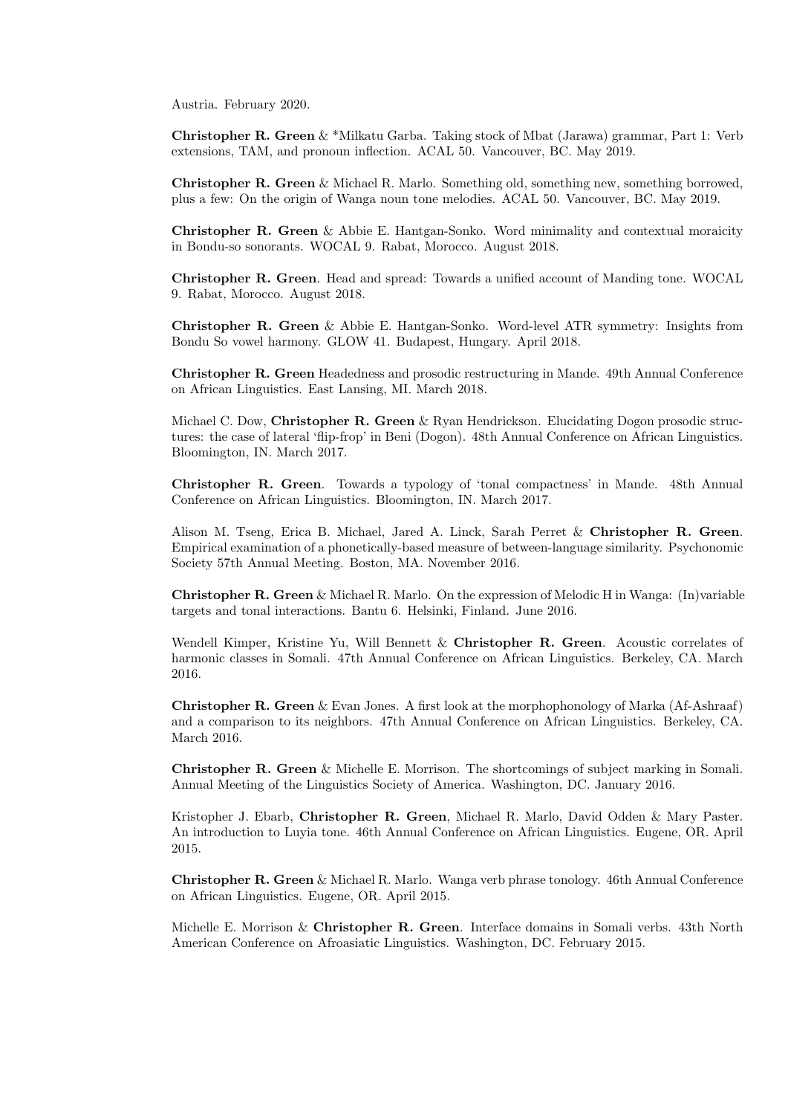Austria. February 2020.

Christopher R. Green & \*Milkatu Garba. Taking stock of Mbat (Jarawa) grammar, Part 1: Verb extensions, TAM, and pronoun inflection. ACAL 50. Vancouver, BC. May 2019.

Christopher R. Green & Michael R. Marlo. Something old, something new, something borrowed, plus a few: On the origin of Wanga noun tone melodies. ACAL 50. Vancouver, BC. May 2019.

Christopher R. Green & Abbie E. Hantgan-Sonko. Word minimality and contextual moraicity in Bondu-so sonorants. WOCAL 9. Rabat, Morocco. August 2018.

Christopher R. Green. Head and spread: Towards a unified account of Manding tone. WOCAL 9. Rabat, Morocco. August 2018.

Christopher R. Green & Abbie E. Hantgan-Sonko. Word-level ATR symmetry: Insights from Bondu So vowel harmony. GLOW 41. Budapest, Hungary. April 2018.

Christopher R. Green Headedness and prosodic restructuring in Mande. 49th Annual Conference on African Linguistics. East Lansing, MI. March 2018.

Michael C. Dow, Christopher R. Green & Ryan Hendrickson. Elucidating Dogon prosodic structures: the case of lateral 'flip-frop' in Beni (Dogon). 48th Annual Conference on African Linguistics. Bloomington, IN. March 2017.

Christopher R. Green. Towards a typology of 'tonal compactness' in Mande. 48th Annual Conference on African Linguistics. Bloomington, IN. March 2017.

Alison M. Tseng, Erica B. Michael, Jared A. Linck, Sarah Perret & Christopher R. Green. Empirical examination of a phonetically-based measure of between-language similarity. Psychonomic Society 57th Annual Meeting. Boston, MA. November 2016.

Christopher R. Green & Michael R. Marlo. On the expression of Melodic H in Wanga: (In)variable targets and tonal interactions. Bantu 6. Helsinki, Finland. June 2016.

Wendell Kimper, Kristine Yu, Will Bennett & Christopher R. Green. Acoustic correlates of harmonic classes in Somali. 47th Annual Conference on African Linguistics. Berkeley, CA. March 2016.

Christopher R. Green & Evan Jones. A first look at the morphophonology of Marka (Af-Ashraaf) and a comparison to its neighbors. 47th Annual Conference on African Linguistics. Berkeley, CA. March 2016.

Christopher R. Green & Michelle E. Morrison. The shortcomings of subject marking in Somali. Annual Meeting of the Linguistics Society of America. Washington, DC. January 2016.

Kristopher J. Ebarb, Christopher R. Green, Michael R. Marlo, David Odden & Mary Paster. An introduction to Luyia tone. 46th Annual Conference on African Linguistics. Eugene, OR. April 2015.

Christopher R. Green & Michael R. Marlo. Wanga verb phrase tonology. 46th Annual Conference on African Linguistics. Eugene, OR. April 2015.

Michelle E. Morrison & Christopher R. Green. Interface domains in Somali verbs. 43th North American Conference on Afroasiatic Linguistics. Washington, DC. February 2015.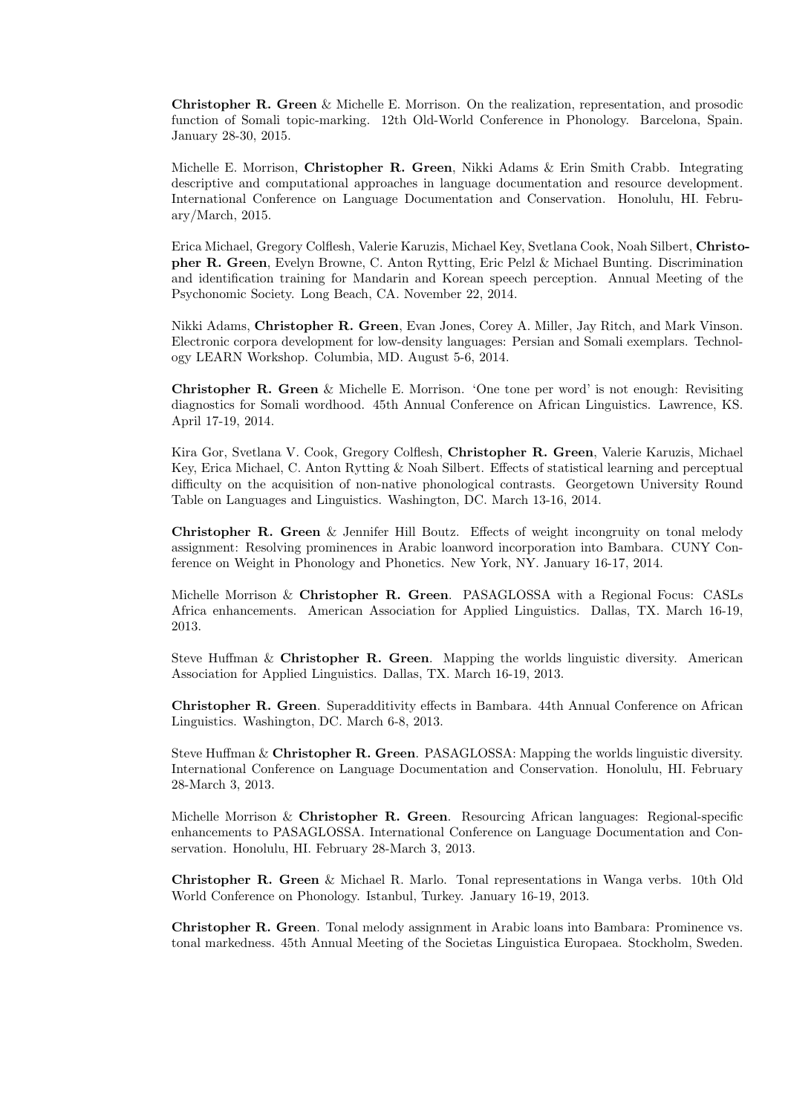Christopher R. Green & Michelle E. Morrison. On the realization, representation, and prosodic function of Somali topic-marking. 12th Old-World Conference in Phonology. Barcelona, Spain. January 28-30, 2015.

Michelle E. Morrison, Christopher R. Green, Nikki Adams & Erin Smith Crabb. Integrating descriptive and computational approaches in language documentation and resource development. International Conference on Language Documentation and Conservation. Honolulu, HI. February/March, 2015.

Erica Michael, Gregory Colflesh, Valerie Karuzis, Michael Key, Svetlana Cook, Noah Silbert, Christopher R. Green, Evelyn Browne, C. Anton Rytting, Eric Pelzl & Michael Bunting. Discrimination and identification training for Mandarin and Korean speech perception. Annual Meeting of the Psychonomic Society. Long Beach, CA. November 22, 2014.

Nikki Adams, Christopher R. Green, Evan Jones, Corey A. Miller, Jay Ritch, and Mark Vinson. Electronic corpora development for low-density languages: Persian and Somali exemplars. Technology LEARN Workshop. Columbia, MD. August 5-6, 2014.

Christopher R. Green & Michelle E. Morrison. 'One tone per word' is not enough: Revisiting diagnostics for Somali wordhood. 45th Annual Conference on African Linguistics. Lawrence, KS. April 17-19, 2014.

Kira Gor, Svetlana V. Cook, Gregory Colflesh, Christopher R. Green, Valerie Karuzis, Michael Key, Erica Michael, C. Anton Rytting & Noah Silbert. Effects of statistical learning and perceptual difficulty on the acquisition of non-native phonological contrasts. Georgetown University Round Table on Languages and Linguistics. Washington, DC. March 13-16, 2014.

Christopher R. Green & Jennifer Hill Boutz. Effects of weight incongruity on tonal melody assignment: Resolving prominences in Arabic loanword incorporation into Bambara. CUNY Conference on Weight in Phonology and Phonetics. New York, NY. January 16-17, 2014.

Michelle Morrison & Christopher R. Green. PASAGLOSSA with a Regional Focus: CASLs Africa enhancements. American Association for Applied Linguistics. Dallas, TX. March 16-19, 2013.

Steve Huffman & Christopher R. Green. Mapping the worlds linguistic diversity. American Association for Applied Linguistics. Dallas, TX. March 16-19, 2013.

Christopher R. Green. Superadditivity effects in Bambara. 44th Annual Conference on African Linguistics. Washington, DC. March 6-8, 2013.

Steve Huffman & Christopher R. Green. PASAGLOSSA: Mapping the worlds linguistic diversity. International Conference on Language Documentation and Conservation. Honolulu, HI. February 28-March 3, 2013.

Michelle Morrison & Christopher R. Green. Resourcing African languages: Regional-specific enhancements to PASAGLOSSA. International Conference on Language Documentation and Conservation. Honolulu, HI. February 28-March 3, 2013.

Christopher R. Green & Michael R. Marlo. Tonal representations in Wanga verbs. 10th Old World Conference on Phonology. Istanbul, Turkey. January 16-19, 2013.

Christopher R. Green. Tonal melody assignment in Arabic loans into Bambara: Prominence vs. tonal markedness. 45th Annual Meeting of the Societas Linguistica Europaea. Stockholm, Sweden.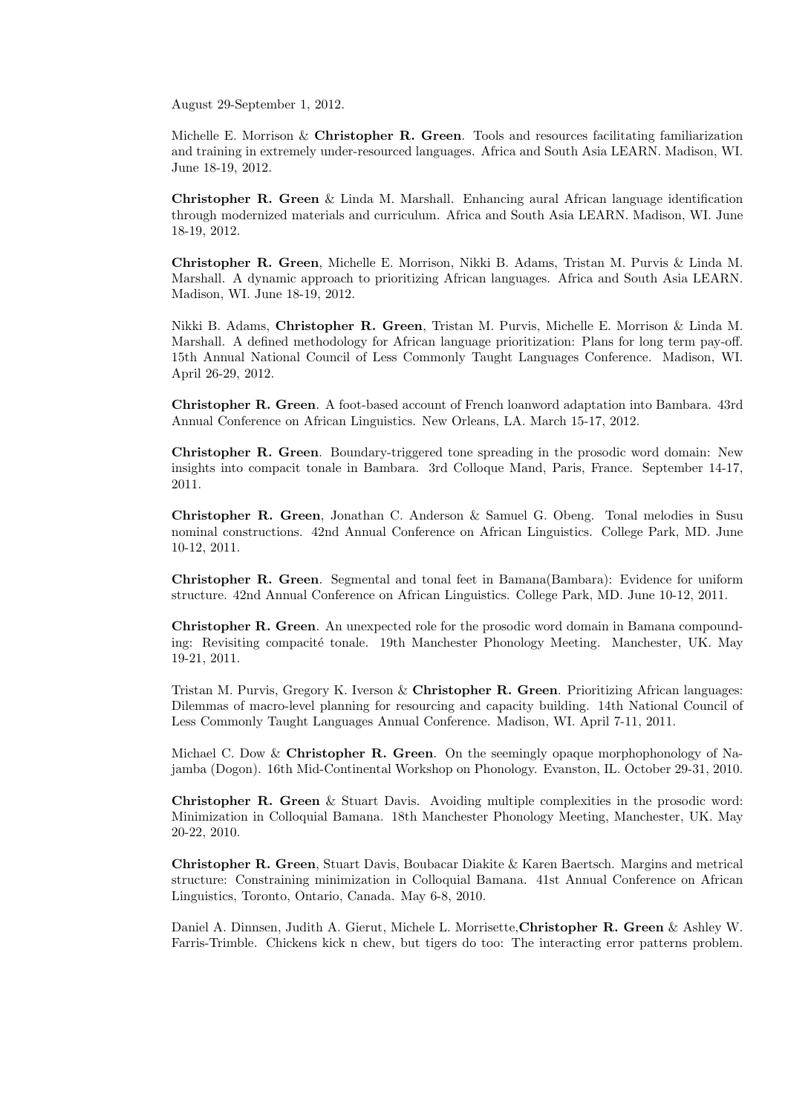August 29-September 1, 2012.

Michelle E. Morrison & Christopher R. Green. Tools and resources facilitating familiarization and training in extremely under-resourced languages. Africa and South Asia LEARN. Madison, WI. June 18-19, 2012.

Christopher R. Green & Linda M. Marshall. Enhancing aural African language identification through modernized materials and curriculum. Africa and South Asia LEARN. Madison, WI. June 18-19, 2012.

Christopher R. Green, Michelle E. Morrison, Nikki B. Adams, Tristan M. Purvis & Linda M. Marshall. A dynamic approach to prioritizing African languages. Africa and South Asia LEARN. Madison, WI. June 18-19, 2012.

Nikki B. Adams, Christopher R. Green, Tristan M. Purvis, Michelle E. Morrison & Linda M. Marshall. A defined methodology for African language prioritization: Plans for long term pay-off. 15th Annual National Council of Less Commonly Taught Languages Conference. Madison, WI. April 26-29, 2012.

Christopher R. Green. A foot-based account of French loanword adaptation into Bambara. 43rd Annual Conference on African Linguistics. New Orleans, LA. March 15-17, 2012.

Christopher R. Green. Boundary-triggered tone spreading in the prosodic word domain: New insights into compacit tonale in Bambara. 3rd Colloque Mand, Paris, France. September 14-17, 2011.

Christopher R. Green, Jonathan C. Anderson & Samuel G. Obeng. Tonal melodies in Susu nominal constructions. 42nd Annual Conference on African Linguistics. College Park, MD. June 10-12, 2011.

Christopher R. Green. Segmental and tonal feet in Bamana(Bambara): Evidence for uniform structure. 42nd Annual Conference on African Linguistics. College Park, MD. June 10-12, 2011.

Christopher R. Green. An unexpected role for the prosodic word domain in Bamana compounding: Revisiting compacité tonale. 19th Manchester Phonology Meeting. Manchester, UK. May 19-21, 2011.

Tristan M. Purvis, Gregory K. Iverson & Christopher R. Green. Prioritizing African languages: Dilemmas of macro-level planning for resourcing and capacity building. 14th National Council of Less Commonly Taught Languages Annual Conference. Madison, WI. April 7-11, 2011.

Michael C. Dow  $&\&$  Christopher R. Green. On the seemingly opaque morphophonology of Najamba (Dogon). 16th Mid-Continental Workshop on Phonology. Evanston, IL. October 29-31, 2010.

Christopher R. Green & Stuart Davis. Avoiding multiple complexities in the prosodic word: Minimization in Colloquial Bamana. 18th Manchester Phonology Meeting, Manchester, UK. May 20-22, 2010.

Christopher R. Green, Stuart Davis, Boubacar Diakite & Karen Baertsch. Margins and metrical structure: Constraining minimization in Colloquial Bamana. 41st Annual Conference on African Linguistics, Toronto, Ontario, Canada. May 6-8, 2010.

Daniel A. Dinnsen, Judith A. Gierut, Michele L. Morrisette,Christopher R. Green & Ashley W. Farris-Trimble. Chickens kick n chew, but tigers do too: The interacting error patterns problem.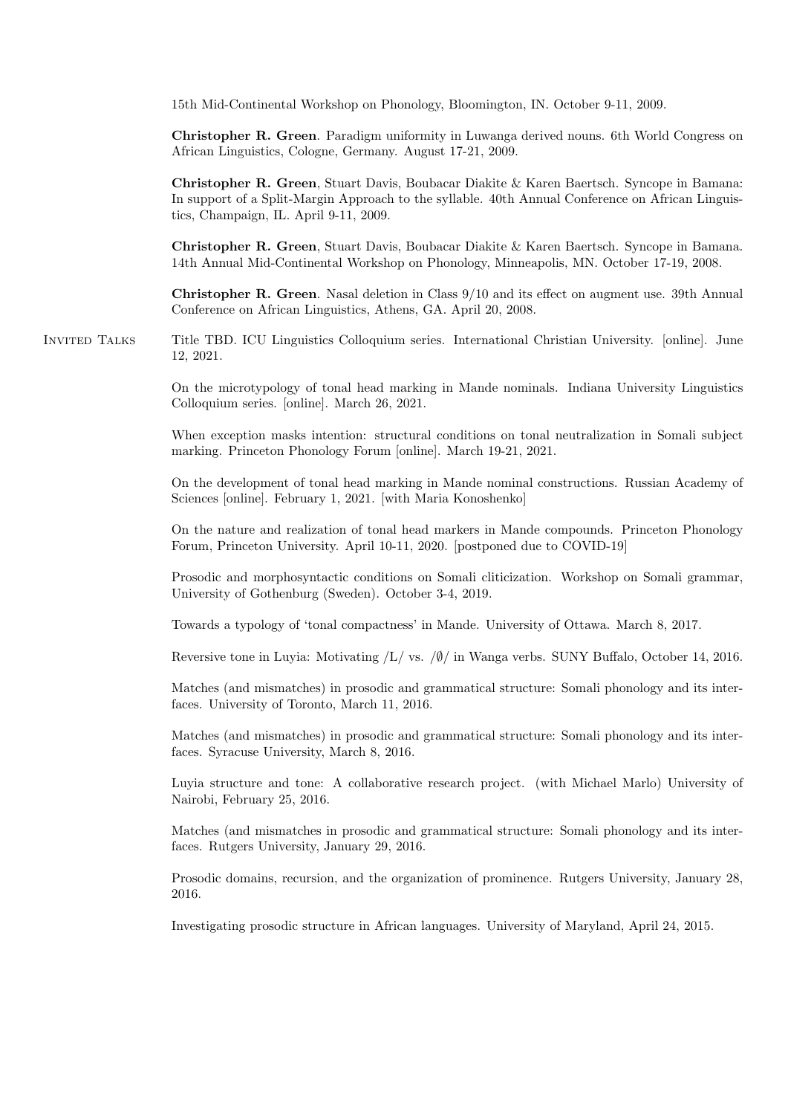15th Mid-Continental Workshop on Phonology, Bloomington, IN. October 9-11, 2009.

Christopher R. Green. Paradigm uniformity in Luwanga derived nouns. 6th World Congress on African Linguistics, Cologne, Germany. August 17-21, 2009.

Christopher R. Green, Stuart Davis, Boubacar Diakite & Karen Baertsch. Syncope in Bamana: In support of a Split-Margin Approach to the syllable. 40th Annual Conference on African Linguistics, Champaign, IL. April 9-11, 2009.

Christopher R. Green, Stuart Davis, Boubacar Diakite & Karen Baertsch. Syncope in Bamana. 14th Annual Mid-Continental Workshop on Phonology, Minneapolis, MN. October 17-19, 2008.

Christopher R. Green. Nasal deletion in Class 9/10 and its effect on augment use. 39th Annual Conference on African Linguistics, Athens, GA. April 20, 2008.

Invited Talks Title TBD. ICU Linguistics Colloquium series. International Christian University. [online]. June 12, 2021.

> On the microtypology of tonal head marking in Mande nominals. Indiana University Linguistics Colloquium series. [online]. March 26, 2021.

> When exception masks intention: structural conditions on tonal neutralization in Somali subject marking. Princeton Phonology Forum [online]. March 19-21, 2021.

> On the development of tonal head marking in Mande nominal constructions. Russian Academy of Sciences [online]. February 1, 2021. [with Maria Konoshenko]

> On the nature and realization of tonal head markers in Mande compounds. Princeton Phonology Forum, Princeton University. April 10-11, 2020. [postponed due to COVID-19]

> Prosodic and morphosyntactic conditions on Somali cliticization. Workshop on Somali grammar, University of Gothenburg (Sweden). October 3-4, 2019.

Towards a typology of 'tonal compactness' in Mande. University of Ottawa. March 8, 2017.

Reversive tone in Luyia: Motivating /L/ vs. /∅/ in Wanga verbs. SUNY Buffalo, October 14, 2016.

Matches (and mismatches) in prosodic and grammatical structure: Somali phonology and its interfaces. University of Toronto, March 11, 2016.

Matches (and mismatches) in prosodic and grammatical structure: Somali phonology and its interfaces. Syracuse University, March 8, 2016.

Luyia structure and tone: A collaborative research project. (with Michael Marlo) University of Nairobi, February 25, 2016.

Matches (and mismatches in prosodic and grammatical structure: Somali phonology and its interfaces. Rutgers University, January 29, 2016.

Prosodic domains, recursion, and the organization of prominence. Rutgers University, January 28, 2016.

Investigating prosodic structure in African languages. University of Maryland, April 24, 2015.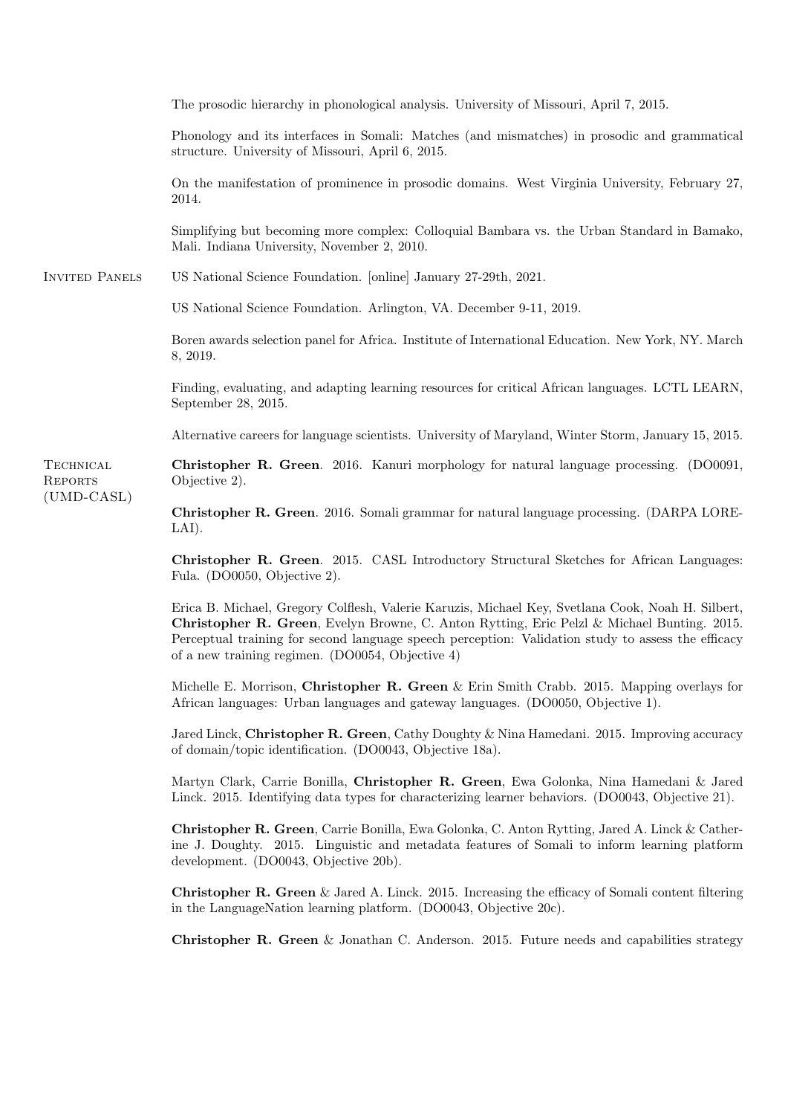Invited Panels (UMD-CASL) The prosodic hierarchy in phonological analysis. University of Missouri, April 7, 2015. Phonology and its interfaces in Somali: Matches (and mismatches) in prosodic and grammatical structure. University of Missouri, April 6, 2015. On the manifestation of prominence in prosodic domains. West Virginia University, February 27, 2014. Simplifying but becoming more complex: Colloquial Bambara vs. the Urban Standard in Bamako, Mali. Indiana University, November 2, 2010. US National Science Foundation. [online] January 27-29th, 2021. US National Science Foundation. Arlington, VA. December 9-11, 2019. Boren awards selection panel for Africa. Institute of International Education. New York, NY. March 8, 2019. Finding, evaluating, and adapting learning resources for critical African languages. LCTL LEARN, September 28, 2015. Alternative careers for language scientists. University of Maryland, Winter Storm, January 15, 2015. Christopher R. Green. 2016. Kanuri morphology for natural language processing. (DO0091, Objective 2).

**TECHNICAL REPORTS** 

> Christopher R. Green. 2016. Somali grammar for natural language processing. (DARPA LORE-LAI).

> Christopher R. Green. 2015. CASL Introductory Structural Sketches for African Languages: Fula. (DO0050, Objective 2).

> Erica B. Michael, Gregory Colflesh, Valerie Karuzis, Michael Key, Svetlana Cook, Noah H. Silbert, Christopher R. Green, Evelyn Browne, C. Anton Rytting, Eric Pelzl & Michael Bunting. 2015. Perceptual training for second language speech perception: Validation study to assess the efficacy of a new training regimen. (DO0054, Objective 4)

> Michelle E. Morrison, Christopher R. Green  $\&$  Erin Smith Crabb. 2015. Mapping overlays for African languages: Urban languages and gateway languages. (DO0050, Objective 1).

> Jared Linck, Christopher R. Green, Cathy Doughty & Nina Hamedani. 2015. Improving accuracy of domain/topic identification. (DO0043, Objective 18a).

> Martyn Clark, Carrie Bonilla, Christopher R. Green, Ewa Golonka, Nina Hamedani & Jared Linck. 2015. Identifying data types for characterizing learner behaviors. (DO0043, Objective 21).

> Christopher R. Green, Carrie Bonilla, Ewa Golonka, C. Anton Rytting, Jared A. Linck & Catherine J. Doughty. 2015. Linguistic and metadata features of Somali to inform learning platform development. (DO0043, Objective 20b).

> **Christopher R. Green & Jared A. Linck. 2015. Increasing the efficacy of Somali content filtering** in the LanguageNation learning platform. (DO0043, Objective 20c).

> **Christopher R. Green & Jonathan C. Anderson.** 2015. Future needs and capabilities strategy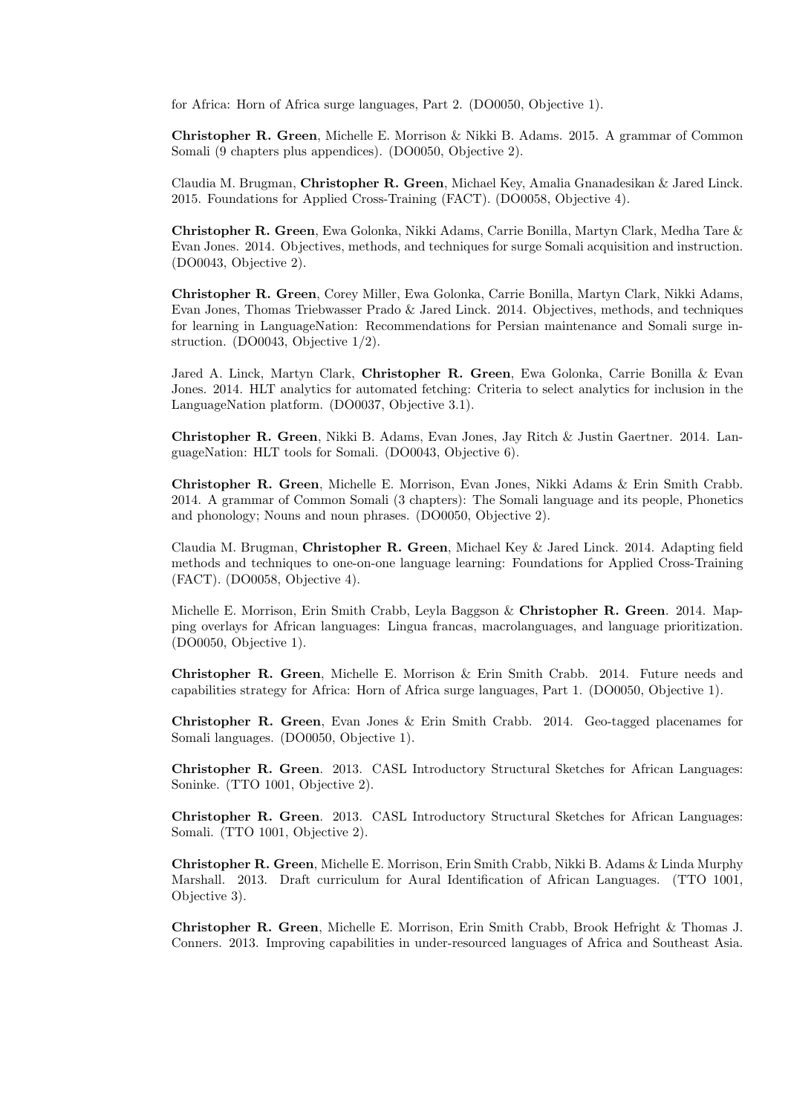for Africa: Horn of Africa surge languages, Part 2. (DO0050, Objective 1).

Christopher R. Green, Michelle E. Morrison & Nikki B. Adams. 2015. A grammar of Common Somali (9 chapters plus appendices). (DO0050, Objective 2).

Claudia M. Brugman, Christopher R. Green, Michael Key, Amalia Gnanadesikan & Jared Linck. 2015. Foundations for Applied Cross-Training (FACT). (DO0058, Objective 4).

Christopher R. Green, Ewa Golonka, Nikki Adams, Carrie Bonilla, Martyn Clark, Medha Tare & Evan Jones. 2014. Objectives, methods, and techniques for surge Somali acquisition and instruction. (DO0043, Objective 2).

Christopher R. Green, Corey Miller, Ewa Golonka, Carrie Bonilla, Martyn Clark, Nikki Adams, Evan Jones, Thomas Triebwasser Prado & Jared Linck. 2014. Objectives, methods, and techniques for learning in LanguageNation: Recommendations for Persian maintenance and Somali surge instruction. (DO0043, Objective 1/2).

Jared A. Linck, Martyn Clark, Christopher R. Green, Ewa Golonka, Carrie Bonilla & Evan Jones. 2014. HLT analytics for automated fetching: Criteria to select analytics for inclusion in the LanguageNation platform. (DO0037, Objective 3.1).

Christopher R. Green, Nikki B. Adams, Evan Jones, Jay Ritch & Justin Gaertner. 2014. LanguageNation: HLT tools for Somali. (DO0043, Objective 6).

Christopher R. Green, Michelle E. Morrison, Evan Jones, Nikki Adams & Erin Smith Crabb. 2014. A grammar of Common Somali (3 chapters): The Somali language and its people, Phonetics and phonology; Nouns and noun phrases. (DO0050, Objective 2).

Claudia M. Brugman, Christopher R. Green, Michael Key & Jared Linck. 2014. Adapting field methods and techniques to one-on-one language learning: Foundations for Applied Cross-Training (FACT). (DO0058, Objective 4).

Michelle E. Morrison, Erin Smith Crabb, Leyla Baggson & Christopher R. Green. 2014. Mapping overlays for African languages: Lingua francas, macrolanguages, and language prioritization. (DO0050, Objective 1).

Christopher R. Green, Michelle E. Morrison & Erin Smith Crabb. 2014. Future needs and capabilities strategy for Africa: Horn of Africa surge languages, Part 1. (DO0050, Objective 1).

Christopher R. Green, Evan Jones & Erin Smith Crabb. 2014. Geo-tagged placenames for Somali languages. (DO0050, Objective 1).

Christopher R. Green. 2013. CASL Introductory Structural Sketches for African Languages: Soninke. (TTO 1001, Objective 2).

Christopher R. Green. 2013. CASL Introductory Structural Sketches for African Languages: Somali. (TTO 1001, Objective 2).

Christopher R. Green, Michelle E. Morrison, Erin Smith Crabb, Nikki B. Adams & Linda Murphy Marshall. 2013. Draft curriculum for Aural Identification of African Languages. (TTO 1001, Objective 3).

Christopher R. Green, Michelle E. Morrison, Erin Smith Crabb, Brook Hefright & Thomas J. Conners. 2013. Improving capabilities in under-resourced languages of Africa and Southeast Asia.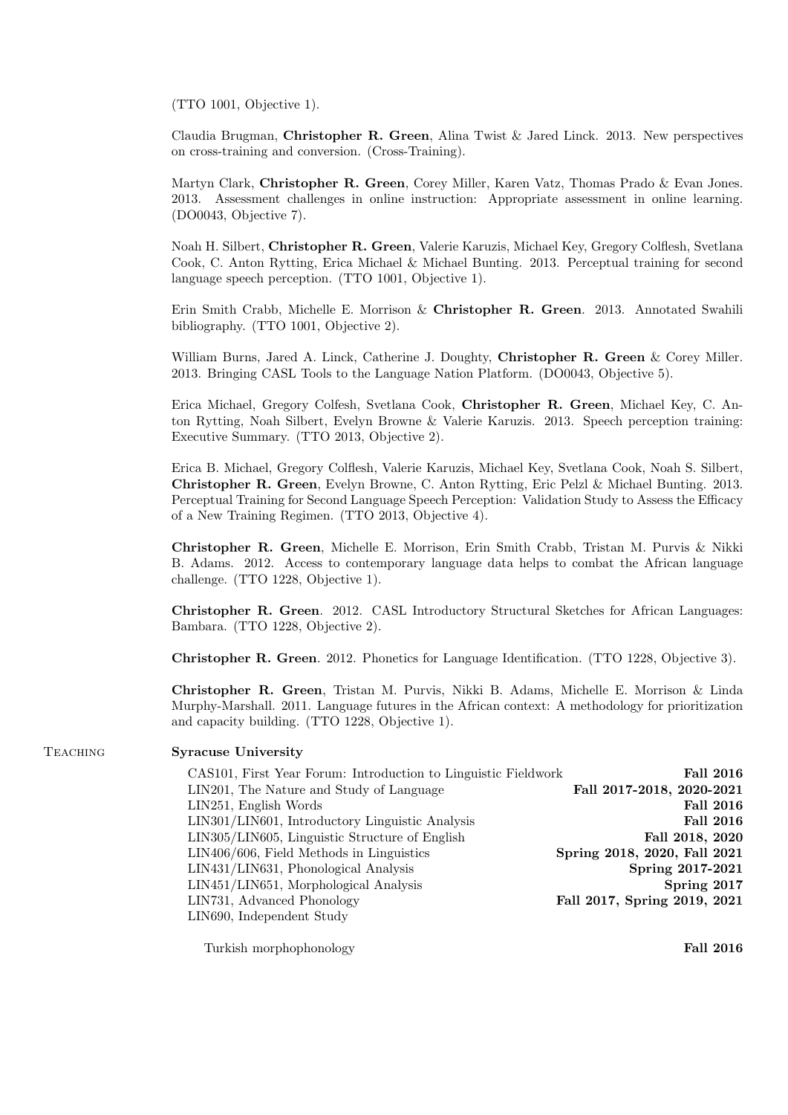(TTO 1001, Objective 1).

Claudia Brugman, Christopher R. Green, Alina Twist & Jared Linck. 2013. New perspectives on cross-training and conversion. (Cross-Training).

Martyn Clark, Christopher R. Green, Corey Miller, Karen Vatz, Thomas Prado & Evan Jones. 2013. Assessment challenges in online instruction: Appropriate assessment in online learning. (DO0043, Objective 7).

Noah H. Silbert, Christopher R. Green, Valerie Karuzis, Michael Key, Gregory Colflesh, Svetlana Cook, C. Anton Rytting, Erica Michael & Michael Bunting. 2013. Perceptual training for second language speech perception. (TTO 1001, Objective 1).

Erin Smith Crabb, Michelle E. Morrison & Christopher R. Green. 2013. Annotated Swahili bibliography. (TTO 1001, Objective 2).

William Burns, Jared A. Linck, Catherine J. Doughty, Christopher R. Green & Corey Miller. 2013. Bringing CASL Tools to the Language Nation Platform. (DO0043, Objective 5).

Erica Michael, Gregory Colfesh, Svetlana Cook, Christopher R. Green, Michael Key, C. Anton Rytting, Noah Silbert, Evelyn Browne & Valerie Karuzis. 2013. Speech perception training: Executive Summary. (TTO 2013, Objective 2).

Erica B. Michael, Gregory Colflesh, Valerie Karuzis, Michael Key, Svetlana Cook, Noah S. Silbert, Christopher R. Green, Evelyn Browne, C. Anton Rytting, Eric Pelzl & Michael Bunting. 2013. Perceptual Training for Second Language Speech Perception: Validation Study to Assess the Efficacy of a New Training Regimen. (TTO 2013, Objective 4).

Christopher R. Green, Michelle E. Morrison, Erin Smith Crabb, Tristan M. Purvis & Nikki B. Adams. 2012. Access to contemporary language data helps to combat the African language challenge. (TTO 1228, Objective 1).

Christopher R. Green. 2012. CASL Introductory Structural Sketches for African Languages: Bambara. (TTO 1228, Objective 2).

Christopher R. Green. 2012. Phonetics for Language Identification. (TTO 1228, Objective 3).

Christopher R. Green, Tristan M. Purvis, Nikki B. Adams, Michelle E. Morrison & Linda Murphy-Marshall. 2011. Language futures in the African context: A methodology for prioritization and capacity building. (TTO 1228, Objective 1).

## TEACHING Syracuse University

| CAS101, First Year Forum: Introduction to Linguistic Fieldwork | <b>Fall 2016</b>             |
|----------------------------------------------------------------|------------------------------|
| LIN201, The Nature and Study of Language                       | Fall 2017-2018, 2020-2021    |
| LIN251, English Words                                          | <b>Fall 2016</b>             |
| LIN301/LIN601, Introductory Linguistic Analysis                | <b>Fall 2016</b>             |
| LIN305/LIN605, Linguistic Structure of English                 | Fall 2018, 2020              |
| LIN406/606, Field Methods in Linguistics                       | Spring 2018, 2020, Fall 2021 |
| LIN431/LIN631, Phonological Analysis                           | Spring 2017-2021             |
| LIN451/LIN651, Morphological Analysis                          | Spring 2017                  |
| LIN731, Advanced Phonology                                     | Fall 2017, Spring 2019, 2021 |
| LIN690, Independent Study                                      |                              |
|                                                                |                              |

Turkish morphophonology **Fall 2016**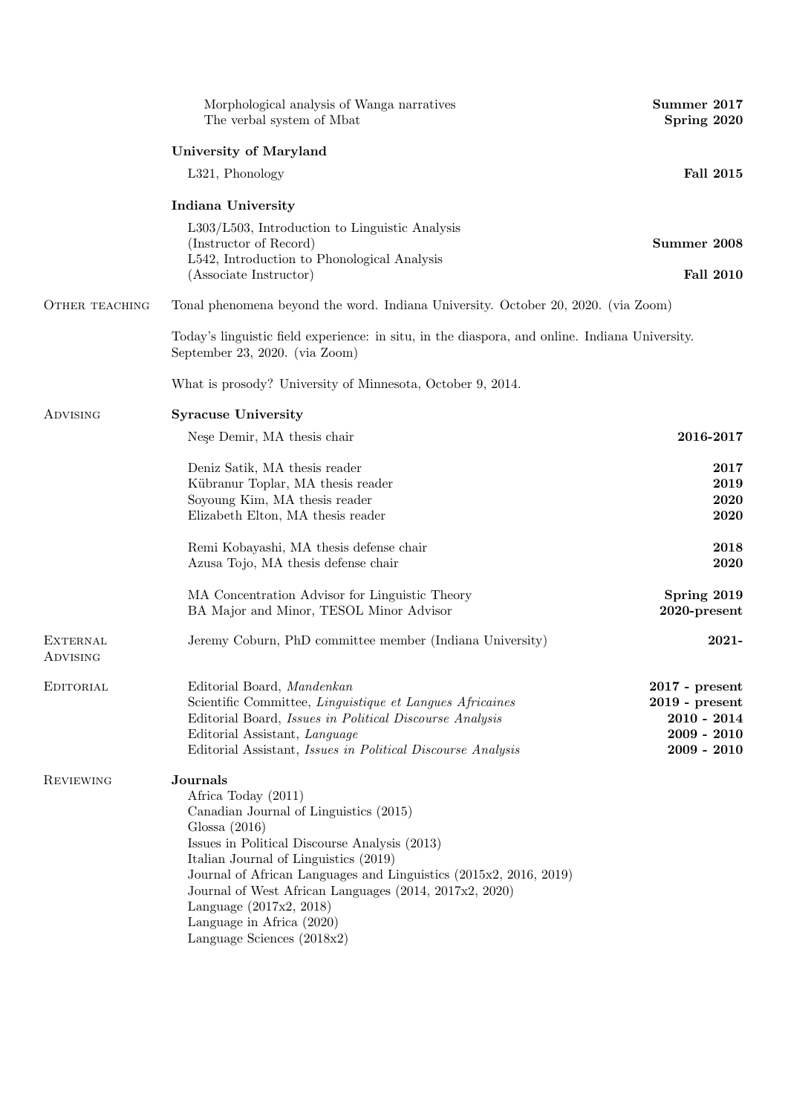|                             | Morphological analysis of Wanga narratives<br>The verbal system of Mbat                                                          | Summer 2017<br>Spring 2020               |
|-----------------------------|----------------------------------------------------------------------------------------------------------------------------------|------------------------------------------|
|                             | <b>University of Maryland</b>                                                                                                    |                                          |
|                             | L321, Phonology                                                                                                                  | <b>Fall 2015</b>                         |
|                             | <b>Indiana University</b>                                                                                                        |                                          |
|                             | $L303/L503$ , Introduction to Linguistic Analysis<br>(Instructor of Record)                                                      | Summer 2008                              |
|                             | L542, Introduction to Phonological Analysis<br>(Associate Instructor)                                                            | <b>Fall 2010</b>                         |
| OTHER TEACHING              | Tonal phenomena beyond the word. Indiana University. October 20, 2020. (via Zoom)                                                |                                          |
|                             | Today's linguistic field experience: in situ, in the diaspora, and online. Indiana University.<br>September 23, 2020. (via Zoom) |                                          |
|                             | What is prosody? University of Minnesota, October 9, 2014.                                                                       |                                          |
| <b>ADVISING</b>             | <b>Syracuse University</b>                                                                                                       |                                          |
|                             | Nese Demir, MA thesis chair                                                                                                      | 2016-2017                                |
|                             | Deniz Satik, MA thesis reader                                                                                                    | 2017                                     |
|                             | Kübranur Toplar, MA thesis reader<br>Soyoung Kim, MA thesis reader                                                               | 2019<br>2020                             |
|                             | Elizabeth Elton, MA thesis reader                                                                                                | 2020                                     |
|                             | Remi Kobayashi, MA thesis defense chair<br>Azusa Tojo, MA thesis defense chair                                                   | 2018<br>2020                             |
|                             | MA Concentration Advisor for Linguistic Theory<br>BA Major and Minor, TESOL Minor Advisor                                        | Spring 2019<br>2020-present              |
| <b>EXTERNAL</b><br>ADVISING | Jeremy Coburn, PhD committee member (Indiana University)                                                                         | 2021-                                    |
| EDITORIAL                   | Editorial Board, Mandenkan                                                                                                       | $2017$ - $\ensuremath{\mathrm{present}}$ |
|                             | Scientific Committee, Linguistique et Langues Africaines                                                                         | $2019$ - present                         |
|                             | Editorial Board, Issues in Political Discourse Analysis<br>Editorial Assistant, Language                                         | $2010 - 2014$<br>$2009 - 2010$           |
|                             | Editorial Assistant, Issues in Political Discourse Analysis                                                                      | $2009 - 2010$                            |
| <b>REVIEWING</b>            | Journals<br>Africa Today (2011)                                                                                                  |                                          |
|                             | Canadian Journal of Linguistics (2015)                                                                                           |                                          |
|                             | Glossa $(2016)$                                                                                                                  |                                          |
|                             | Issues in Political Discourse Analysis (2013)<br>Italian Journal of Linguistics (2019)                                           |                                          |
|                             | Journal of African Languages and Linguistics (2015x2, 2016, 2019)                                                                |                                          |
|                             | Journal of West African Languages (2014, 2017x2, 2020)                                                                           |                                          |
|                             | Language $(2017x2, 2018)$<br>Language in Africa (2020)                                                                           |                                          |
|                             | Language Sciences (2018x2)                                                                                                       |                                          |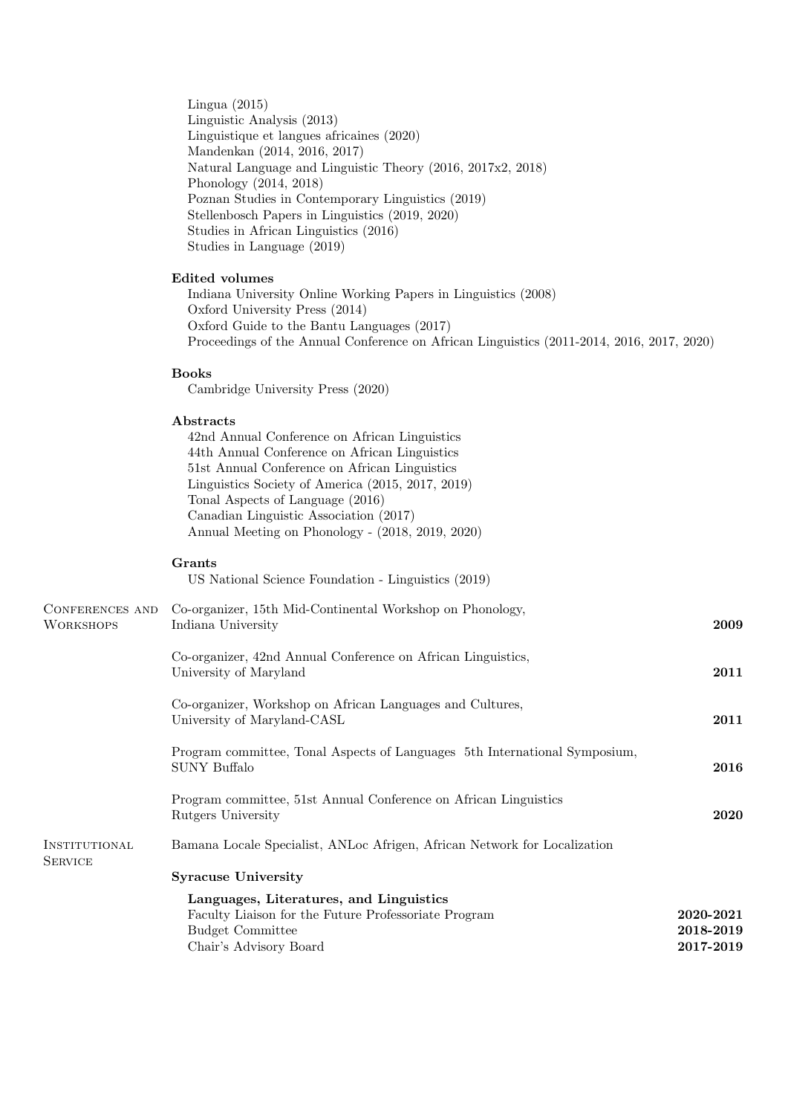Lingua (2015) Linguistic Analysis (2013) Linguistique et langues africaines (2020) Mandenkan (2014, 2016, 2017) Natural Language and Linguistic Theory (2016, 2017x2, 2018) Phonology (2014, 2018) Poznan Studies in Contemporary Linguistics (2019) Stellenbosch Papers in Linguistics (2019, 2020) Studies in African Linguistics (2016) Studies in Language (2019)

# Edited volumes

Indiana University Online Working Papers in Linguistics (2008) Oxford University Press (2014) Oxford Guide to the Bantu Languages (2017) Proceedings of the Annual Conference on African Linguistics (2011-2014, 2016, 2017, 2020)

# Books

Cambridge University Press (2020)

### Abstracts

42nd Annual Conference on African Linguistics 44th Annual Conference on African Linguistics 51st Annual Conference on African Linguistics Linguistics Society of America (2015, 2017, 2019) Tonal Aspects of Language (2016) Canadian Linguistic Association (2017) Annual Meeting on Phonology - (2018, 2019, 2020)

#### Grants

US National Science Foundation - Linguistics (2019)

| CONFERENCES AND<br><b>WORKSHOPS</b> | Co-organizer, 15th Mid-Continental Workshop on Phonology,<br>Indiana University            | 2009        |
|-------------------------------------|--------------------------------------------------------------------------------------------|-------------|
|                                     | Co-organizer, 42nd Annual Conference on African Linguistics,<br>University of Maryland     | 2011        |
|                                     | Co-organizer, Workshop on African Languages and Cultures,<br>University of Maryland-CASL   | 2011        |
|                                     | Program committee, Tonal Aspects of Languages 5th International Symposium,<br>SUNY Buffalo | 2016        |
|                                     | Program committee, 51st Annual Conference on African Linguistics<br>Rutgers University     | <b>2020</b> |
| INSTITUTIONAL<br><b>SERVICE</b>     | Bamana Locale Specialist, ANLoc Afrigen, African Network for Localization                  |             |
|                                     | <b>Syracuse University</b>                                                                 |             |
|                                     | Languages, Literatures, and Linguistics                                                    |             |
|                                     | Faculty Liaison for the Future Professoriate Program                                       | 2020-2021   |
|                                     | <b>Budget Committee</b>                                                                    | 2018-2019   |
|                                     | Chair's Advisory Board                                                                     | 2017-2019   |